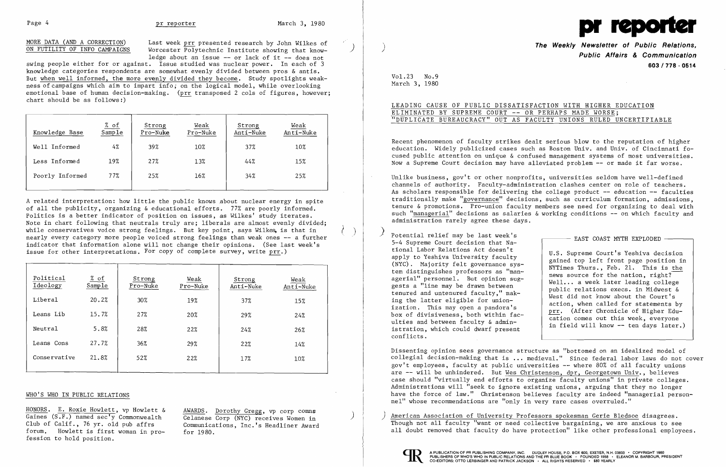MORE DATA (AND A CORRECTION) Last week prr presented research by John Wilkes of ON FUTILITY OF INFO CAMPAIGNS Worcester Polytechnic Institute showing that know-Worcester  $\overline{Pol}$ vtechnic Institute showing that knowledge about an issue **--** or lack of it **--** does not

swing people either for or against. Issue studied was nuclear power. In each of 3 knowledge categories respondents are somewhat evenly divided between pros & antis. But when well informed, the more evenly divided they become. Study spotlights weakness of campaigns which aim to impart info; on the logical model, while overlooking emotional base of human decision-making. (prr transposed 2 cols of figures, however;  $chart$  should be as  $follows:$ )

A related interpretation: how little the public knows about nuclear energy in spite of all the publicity, organizing & educational efforts. 77% are poorly informed. Politics is a better indicator of position on issues, as Wilkes' study iterates. Note in chart following that neutrals truly are; liberals are almost evenly divided; while conservatives voice strong feelings. But key point, says Wilkes, is that in nearly every category more people voiced strong feelings than weak ones **--** a further indicator that information alone will not change their opinions. (See last week's issue for other interpretations. For copy of complete survey, write  $\text{prr.}$ )

| Knowledge Base  | % of<br>Sample | Strong<br>Pro-Nuke | Weak<br>Pro-Nuke | Strong<br>Anti-Nuke | Weak<br>Anti-Nuke |
|-----------------|----------------|--------------------|------------------|---------------------|-------------------|
| Well Informed   | 4%             | 39%                | 10%              | 37%                 | 10%               |
| Less Informed   | 19%            | 27%                | 13%              | 44%                 | 15%               |
| Poorly Informed | 77%            | 25%                | 16%              | 34%                 | 25%               |
|                 |                |                    |                  |                     |                   |

HONORS. E. Roxie Howlett, vp Howlett & AWARDS. Dorothy Gregg, vp corp comns Gaines (S.F.) named sec'y Commonwealth Celanese Corp (NYC) receives Women in Club of Calif., 76 yr. old pub affrs Communications. Inc.'s Headliner Award forum. Howlett is first woman in profession to hold position.

Communications, Inc.'s Headliner Award<br>for 1980.

 $Vol.23$  No.9 March 3, 1980

# LEADING CAUSE OF PUBLIC DISSATISFACTION WITH HIGHER EDUCATION **ELIMINATED BY SUPREME COURT -- OR PERHAPS MADE WORSE;** )'DUPLICATE BUREAUCRACY" OUT AS FACULTY UNIONS RULED UNCERTIFIABLE

Unlike business, gov't or other nonprofits, universities seldom have well-defined channels of authority. Faculty-administration clashes center on role of teachers. As scholars responsible for delivering the college product **--** education **--** faculties traditionally make "governance" decisions, such as curriculum formation, admissions, tenure & promotions. Pro-union faculty members see need for organizing to deal with such "managerial" decisions as salaries & working conditions -- on which faculty and

| Political<br>Ideology | % of<br>Sample | Strong<br>Pro-Nuke | Weak<br>Pro-Nuke | Strong<br>Anti-Nuke | Weak<br>Anti-Nuke |
|-----------------------|----------------|--------------------|------------------|---------------------|-------------------|
| Liberal               | 20.2%          | 30%                | 19%              | 37%                 | 15%               |
| Leans Lib             | 15.7%          | 27%                | 20%              | 29%                 | 24%               |
| Neutral               | 5.8%           | 28%                | 22%              | 24%                 | 26%               |
| Leans Cons            | 27.7%          | 36%                | 29%              | 22%                 | 14%               |
| Conservative          | 21.8%          | 52%                | 22%              | 17%                 | 10%               |
|                       |                |                    |                  |                     |                   |

### WHO'S WHO IN PUBLIC RELATIONS

U.S. Supreme Court's Yeshiva decision gained top left front page position in NYTimes Thurs., Feb. 21. This is the news source for the nation, right? Well... a week later leading college public relations execs. in Midwest & West did not know about the Court's action, when called for statements by prr. (After Chronicle of Higher Education comes out this week, everyone in field will know -- ten days later.)

)



\) ./

 $\left( \begin{array}{c} \end{array} \right)$ 

**The Weekly Newsletter of Public Relations, Public Affairs & Communication 603/778·0514** 

American Association of University Professors spokesman Gerie Bledsoe disagrees. Though not all faculty "want or need collective bargaining, we are anxious to see all doubt removed that faculty do have protection" like other professional employees.



Recent phenomenon of faculty strikes dealt serious blow to the reputation of higher education. Widely publicized cases such as Boston Univ. and Univ. of Cincinnati focused public attention on unique & confused management systems of most universities. Now a Supreme Court decision may have alleviated problem **--** or made it far worse.

- 
- administration rarely agree these days.
- ) Potential relief may be last week's Forential felter may be fast week s<br>5-4 Supreme Court decision that National Labor Relations Act doesn't apply to Yeshiva University faculty (NYC). Majority felt governance system distinguishes professors as "managerial" personnel. But opinion suggests a "line may be drawn between tenured and untenured faculty," making the latter eligible for unionization. This may open a pandora's box of divisiveness, both within faculties and between faculty & administration, which could dwarf present conflicts.

Dissenting opinion sees governance structure as "bottomed on an idealized model of collegial decision-making that is ... medieval." Since federal labor laws do not cover gov't employees, faculty at public universities -- where 80% of all faculty unions are -- will be unhindered. But Wes Christenson, dpr, Georgetown Univ., believes case should "virtually end efforts to organize faculty unions" in private colleges. Administrations will "seek to ignore existing unions, arguing that they no longer have the force of law." Christenson believes faculty are indeed "managerial personnel" whose recommendations are "only in very rare cases overruled."

)